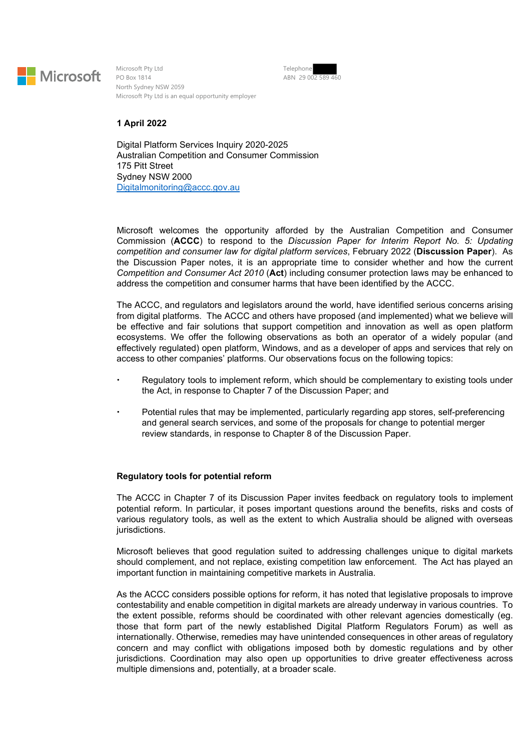

Microsoft Pty Ltd PO Box 1814 North Sydney NSW 2059 Microsoft Pty Ltd is an equal opportunity employer Telephone ABN 29 002 589 460

## **1 April 2022**

Digital Platform Services Inquiry 2020-2025 Australian Competition and Consumer Commission 175 Pitt Street Sydney NSW 2000 Digitalmonitoring@accc.gov.au

Microsoft welcomes the opportunity afforded by the Australian Competition and Consumer Commission (**ACCC**) to respond to the *Discussion Paper for Interim Report No. 5: Updating competition and consumer law for digital platform services*, February 2022 (**Discussion Paper**). As the Discussion Paper notes, it is an appropriate time to consider whether and how the current *Competition and Consumer Act 2010* (**Act**) including consumer protection laws may be enhanced to address the competition and consumer harms that have been identified by the ACCC.

The ACCC, and regulators and legislators around the world, have identified serious concerns arising from digital platforms. The ACCC and others have proposed (and implemented) what we believe will be effective and fair solutions that support competition and innovation as well as open platform ecosystems. We offer the following observations as both an operator of a widely popular (and effectively regulated) open platform, Windows, and as a developer of apps and services that rely on access to other companies' platforms. Our observations focus on the following topics:

- Regulatory tools to implement reform, which should be complementary to existing tools under the Act, in response to Chapter 7 of the Discussion Paper; and
- Potential rules that may be implemented, particularly regarding app stores, self-preferencing and general search services, and some of the proposals for change to potential merger review standards, in response to Chapter 8 of the Discussion Paper.

## **Regulatory tools for potential reform**

The ACCC in Chapter 7 of its Discussion Paper invites feedback on regulatory tools to implement potential reform. In particular, it poses important questions around the benefits, risks and costs of various regulatory tools, as well as the extent to which Australia should be aligned with overseas jurisdictions.

Microsoft believes that good regulation suited to addressing challenges unique to digital markets should complement, and not replace, existing competition law enforcement. The Act has played an important function in maintaining competitive markets in Australia.

As the ACCC considers possible options for reform, it has noted that legislative proposals to improve contestability and enable competition in digital markets are already underway in various countries. To the extent possible, reforms should be coordinated with other relevant agencies domestically (eg. those that form part of the newly established Digital Platform Regulators Forum) as well as internationally. Otherwise, remedies may have unintended consequences in other areas of regulatory concern and may conflict with obligations imposed both by domestic regulations and by other jurisdictions. Coordination may also open up opportunities to drive greater effectiveness across multiple dimensions and, potentially, at a broader scale.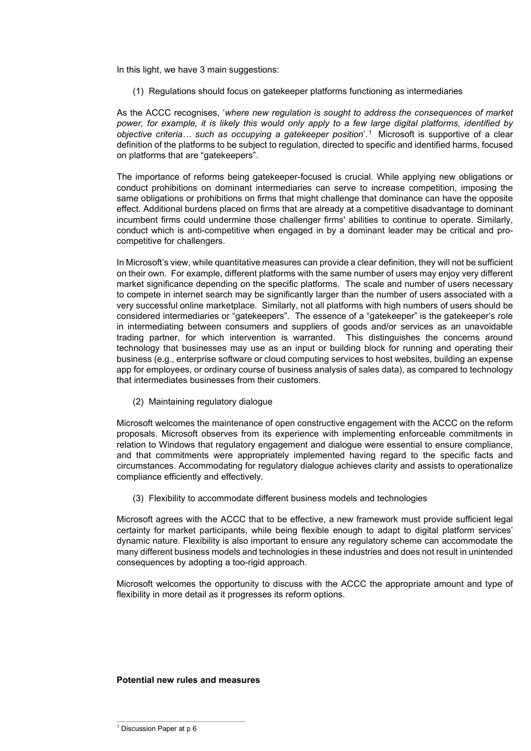In this light, we have 3 main suggestions:

(1) Regulations should focus on gatekeeper platforms functioning as intermediaries

As the ACCC recognises, '*where new regulation is sought to address the consequences of market power, for example, it is likely this would only apply to a few large digital platforms, identified by objective criteria… such as occupying a gatekeeper position*'.1 Microsoft is supportive of a clear definition of the platforms to be subject to regulation, directed to specific and identified harms, focused on platforms that are "gatekeepers".

The importance of reforms being gatekeeper-focused is crucial. While applying new obligations or conduct prohibitions on dominant intermediaries can serve to increase competition, imposing the same obligations or prohibitions on firms that might challenge that dominance can have the opposite effect. Additional burdens placed on firms that are already at a competitive disadvantage to dominant incumbent firms could undermine those challenger firms' abilities to continue to operate. Similarly, conduct which is anti-competitive when engaged in by a dominant leader may be critical and procompetitive for challengers.

In Microsoft's view, while quantitative measures can provide a clear definition, they will not be sufficient on their own. For example, different platforms with the same number of users may enjoy very different market significance depending on the specific platforms. The scale and number of users necessary to compete in internet search may be significantly larger than the number of users associated with a very successful online marketplace. Similarly, not all platforms with high numbers of users should be considered intermediaries or "gatekeepers". The essence of a "gatekeeper" is the gatekeeper's role in intermediating between consumers and suppliers of goods and/or services as an unavoidable trading partner, for which intervention is warranted. This distinguishes the concerns around technology that businesses may use as an input or building block for running and operating their business (e.g., enterprise software or cloud computing services to host websites, building an expense app for employees, or ordinary course of business analysis of sales data), as compared to technology that intermediates businesses from their customers.

(2) Maintaining regulatory dialogue

Microsoft welcomes the maintenance of open constructive engagement with the ACCC on the reform proposals. Microsoft observes from its experience with implementing enforceable commitments in relation to Windows that regulatory engagement and dialogue were essential to ensure compliance, and that commitments were appropriately implemented having regard to the specific facts and circumstances. Accommodating for regulatory dialogue achieves clarity and assists to operationalize compliance efficiently and effectively.

(3) Flexibility to accommodate different business models and technologies

Microsoft agrees with the ACCC that to be effective, a new framework must provide sufficient legal certainty for market participants, while being flexible enough to adapt to digital platform services' dynamic nature. Flexibility is also important to ensure any regulatory scheme can accommodate the many different business models and technologies in these industries and does not result in unintended consequences by adopting a too-rigid approach.

Microsoft welcomes the opportunity to discuss with the ACCC the appropriate amount and type of flexibility in more detail as it progresses its reform options.

## **Potential new rules and measures**

<sup>&</sup>lt;sup>1</sup> Discussion Paper at p 6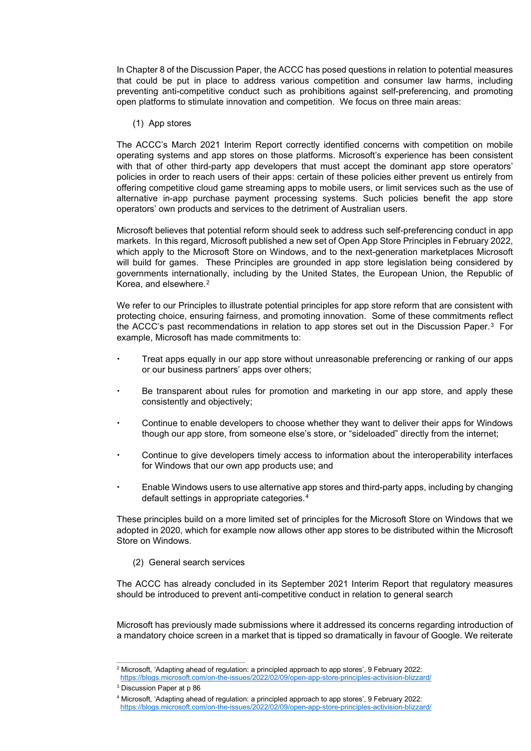In Chapter 8 of the Discussion Paper, the ACCC has posed questions in relation to potential measures that could be put in place to address various competition and consumer law harms, including preventing anti-competitive conduct such as prohibitions against self-preferencing, and promoting open platforms to stimulate innovation and competition. We focus on three main areas:

(1) App stores

The ACCC's March 2021 Interim Report correctly identified concerns with competition on mobile operating systems and app stores on those platforms. Microsoft's experience has been consistent with that of other third-party app developers that must accept the dominant app store operators' policies in order to reach users of their apps: certain of these policies either prevent us entirely from offering competitive cloud game streaming apps to mobile users, or limit services such as the use of alternative in-app purchase payment processing systems. Such policies benefit the app store operators' own products and services to the detriment of Australian users.

Microsoft believes that potential reform should seek to address such self-preferencing conduct in app markets. In this regard, Microsoft published a new set of Open App Store Principles in February 2022, which apply to the Microsoft Store on Windows, and to the next-generation marketplaces Microsoft will build for games. These Principles are grounded in app store legislation being considered by governments internationally, including by the United States, the European Union, the Republic of Korea, and elsewhere.2

We refer to our Principles to illustrate potential principles for app store reform that are consistent with protecting choice, ensuring fairness, and promoting innovation. Some of these commitments reflect the ACCC's past recommendations in relation to app stores set out in the Discussion Paper.<sup>3</sup> For example, Microsoft has made commitments to:

- Treat apps equally in our app store without unreasonable preferencing or ranking of our apps or our business partners' apps over others;
- Be transparent about rules for promotion and marketing in our app store, and apply these consistently and objectively;
- Continue to enable developers to choose whether they want to deliver their apps for Windows though our app store, from someone else's store, or "sideloaded" directly from the internet;
- Continue to give developers timely access to information about the interoperability interfaces for Windows that our own app products use; and
- Enable Windows users to use alternative app stores and third-party apps, including by changing default settings in appropriate categories.4

These principles build on a more limited set of principles for the Microsoft Store on Windows that we adopted in 2020, which for example now allows other app stores to be distributed within the Microsoft Store on Windows.

(2) General search services

The ACCC has already concluded in its September 2021 Interim Report that regulatory measures should be introduced to prevent anti-competitive conduct in relation to general search

Microsoft has previously made submissions where it addressed its concerns regarding introduction of a mandatory choice screen in a market that is tipped so dramatically in favour of Google. We reiterate

<sup>2</sup> Microsoft, 'Adapting ahead of regulation: a principled approach to app stores', 9 February 2022: https://blogs.microsoft.com/on-the-issues/2022/02/09/open-app-store-principles-activision-blizzard/

<sup>3</sup> Discussion Paper at p 86

<sup>4</sup> Microsoft, 'Adapting ahead of regulation: a principled approach to app stores', 9 February 2022: https://blogs.microsoft.com/on-the-issues/2022/02/09/open-app-store-principles-activision-blizzard/